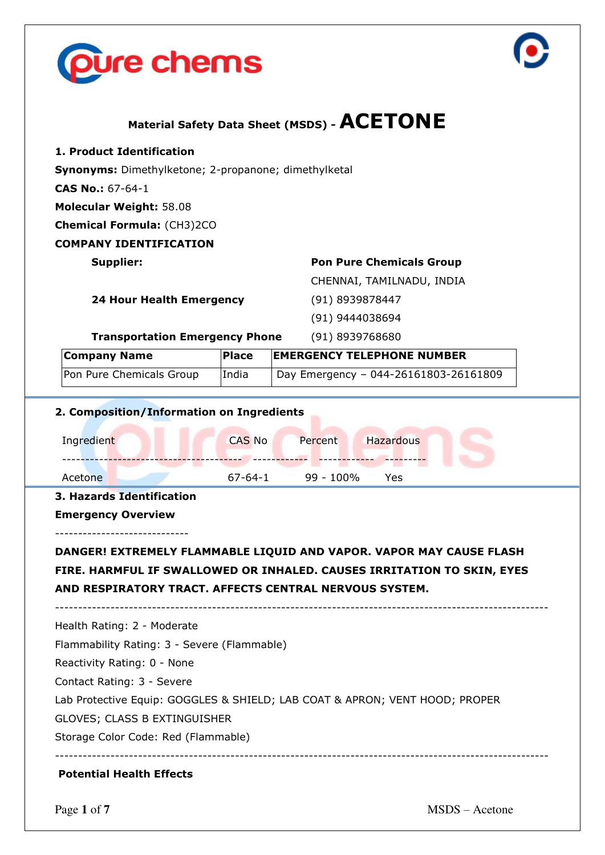



# **Material Safety Data Sheet (MSDS) - ACETONE**

**1. Product Identification** 

**Synonyms:** Dimethylketone; 2-propanone; dimethylketal

**CAS No.:** 67-64-1

**Molecular Weight:** 58.08

**Chemical Formula:** (CH3)2CO

**COMPANY IDENTIFICATION** 

## **Supplier: Pon Pure Chemicals Group**

CHENNAI, TAMILNADU, INDIA

**24 Hour Health Emergency** (91) 8939878447

(91) 9444038694

**Transportation Emergency Phone** (91) 8939768680

| <b>Company Name</b>      | <b>Place</b> | <b>EMERGENCY TELEPHONE NUMBER</b>     |
|--------------------------|--------------|---------------------------------------|
| Pon Pure Chemicals Group | India        | Day Emergency - 044-26161803-26161809 |

## **2. Composition/Information on Ingredients**

| Ingredient | <b>CAS No</b> | Percent   | Hazardous |  |
|------------|---------------|-----------|-----------|--|
| Acetone    | 67-64-1       | 99 - 100% | Yes       |  |

#### **3. Hazards Identification**

-----------------------------

**Emergency Overview**

## **DANGER! EXTREMELY FLAMMABLE LIQUID AND VAPOR. VAPOR MAY CAUSE FLASH FIRE. HARMFUL IF SWALLOWED OR INHALED. CAUSES IRRITATION TO SKIN, EYES AND RESPIRATORY TRACT. AFFECTS CENTRAL NERVOUS SYSTEM.**

-----------------------------------------------------------------------------------------------------------

Health Rating: 2 - Moderate

Flammability Rating: 3 - Severe (Flammable)

Reactivity Rating: 0 - None

Contact Rating: 3 - Severe

Lab Protective Equip: GOGGLES & SHIELD; LAB COAT & APRON; VENT HOOD; PROPER

GLOVES; CLASS B EXTINGUISHER

Storage Color Code: Red (Flammable)

-----------------------------------------------------------------------------------------------------------

## **Potential Health Effects**

Page 1 of 7 MSDS – Acetone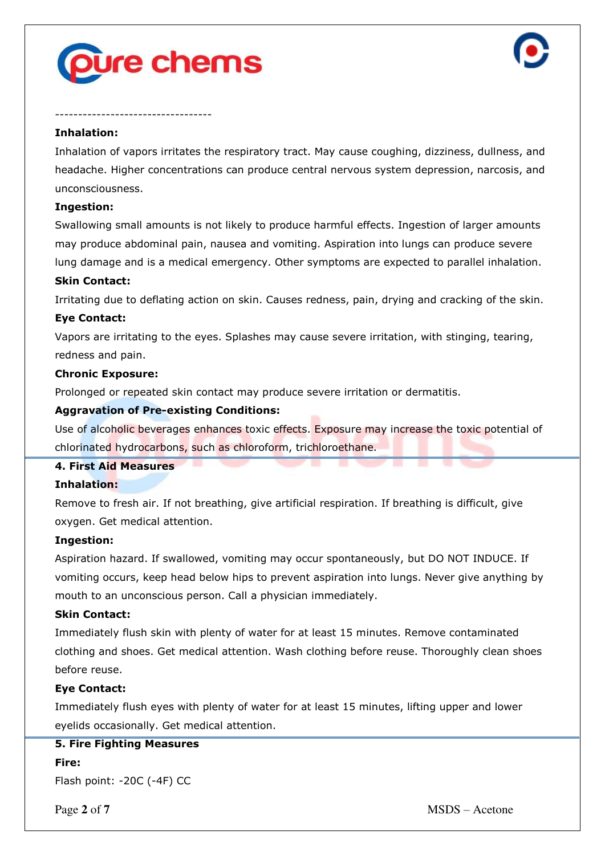

----------------------------------



### **Inhalation:**

Inhalation of vapors irritates the respiratory tract. May cause coughing, dizziness, dullness, and headache. Higher concentrations can produce central nervous system depression, narcosis, and unconsciousness.

#### **Ingestion:**

Swallowing small amounts is not likely to produce harmful effects. Ingestion of larger amounts may produce abdominal pain, nausea and vomiting. Aspiration into lungs can produce severe lung damage and is a medical emergency. Other symptoms are expected to parallel inhalation.

#### **Skin Contact:**

Irritating due to deflating action on skin. Causes redness, pain, drying and cracking of the skin.

#### **Eye Contact:**

Vapors are irritating to the eyes. Splashes may cause severe irritation, with stinging, tearing, redness and pain.

#### **Chronic Exposure:**

Prolonged or repeated skin contact may produce severe irritation or dermatitis.

#### **Aggravation of Pre-existing Conditions:**

Use of alcoholic beverages enhances toxic effects. Exposure may increase the toxic potential of chlorinated hydrocarbons, such as chloroform, trichloroethane.

#### **4. First Aid Measures**

#### **Inhalation:**

Remove to fresh air. If not breathing, give artificial respiration. If breathing is difficult, give oxygen. Get medical attention.

#### **Ingestion:**

Aspiration hazard. If swallowed, vomiting may occur spontaneously, but DO NOT INDUCE. If vomiting occurs, keep head below hips to prevent aspiration into lungs. Never give anything by mouth to an unconscious person. Call a physician immediately.

#### **Skin Contact:**

Immediately flush skin with plenty of water for at least 15 minutes. Remove contaminated clothing and shoes. Get medical attention. Wash clothing before reuse. Thoroughly clean shoes before reuse.

#### **Eye Contact:**

Immediately flush eyes with plenty of water for at least 15 minutes, lifting upper and lower eyelids occasionally. Get medical attention.

#### **5. Fire Fighting Measures**

**Fire:**

Flash point: -20C (-4F) CC

Page 2 of 7 MSDS – Acetone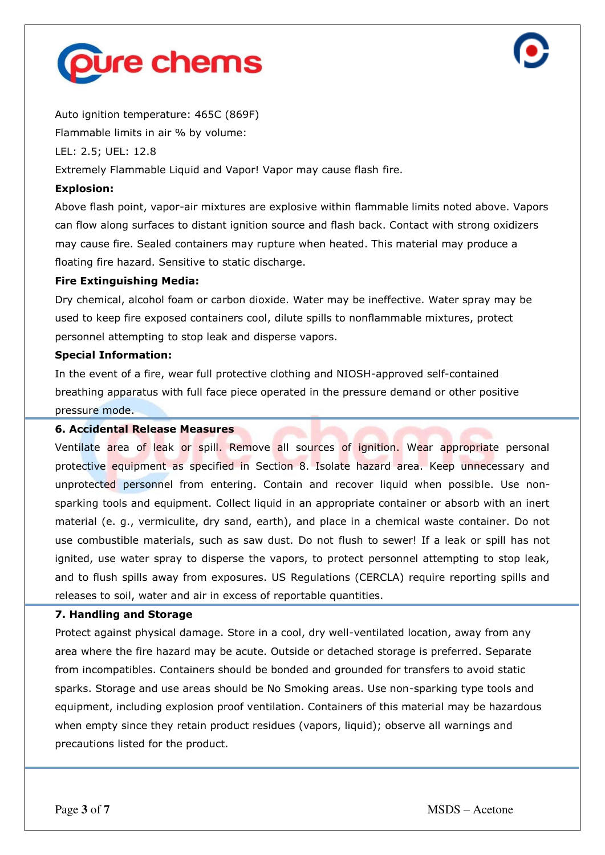



Auto ignition temperature: 465C (869F) Flammable limits in air % by volume:

LEL: 2.5; UEL: 12.8

Extremely Flammable Liquid and Vapor! Vapor may cause flash fire.

## **Explosion:**

Above flash point, vapor-air mixtures are explosive within flammable limits noted above. Vapors can flow along surfaces to distant ignition source and flash back. Contact with strong oxidizers may cause fire. Sealed containers may rupture when heated. This material may produce a floating fire hazard. Sensitive to static discharge.

## **Fire Extinguishing Media:**

Dry chemical, alcohol foam or carbon dioxide. Water may be ineffective. Water spray may be used to keep fire exposed containers cool, dilute spills to nonflammable mixtures, protect personnel attempting to stop leak and disperse vapors.

## **Special Information:**

In the event of a fire, wear full protective clothing and NIOSH-approved self-contained breathing apparatus with full face piece operated in the pressure demand or other positive pressure mode.

### **6. Accidental Release Measures**

Ventilate area of leak or spill. Remove all sources of ignition. Wear appropriate personal protective equipment as specified in Section 8. Isolate hazard area. Keep unnecessary and unprotected personnel from entering. Contain and recover liquid when possible. Use nonsparking tools and equipment. Collect liquid in an appropriate container or absorb with an inert material (e. g., vermiculite, dry sand, earth), and place in a chemical waste container. Do not use combustible materials, such as saw dust. Do not flush to sewer! If a leak or spill has not ignited, use water spray to disperse the vapors, to protect personnel attempting to stop leak, and to flush spills away from exposures. US Regulations (CERCLA) require reporting spills and releases to soil, water and air in excess of reportable quantities.

## **7. Handling and Storage**

Protect against physical damage. Store in a cool, dry well-ventilated location, away from any area where the fire hazard may be acute. Outside or detached storage is preferred. Separate from incompatibles. Containers should be bonded and grounded for transfers to avoid static sparks. Storage and use areas should be No Smoking areas. Use non-sparking type tools and equipment, including explosion proof ventilation. Containers of this material may be hazardous when empty since they retain product residues (vapors, liquid); observe all warnings and precautions listed for the product.

Page **3** of **7** MSDS – Acetone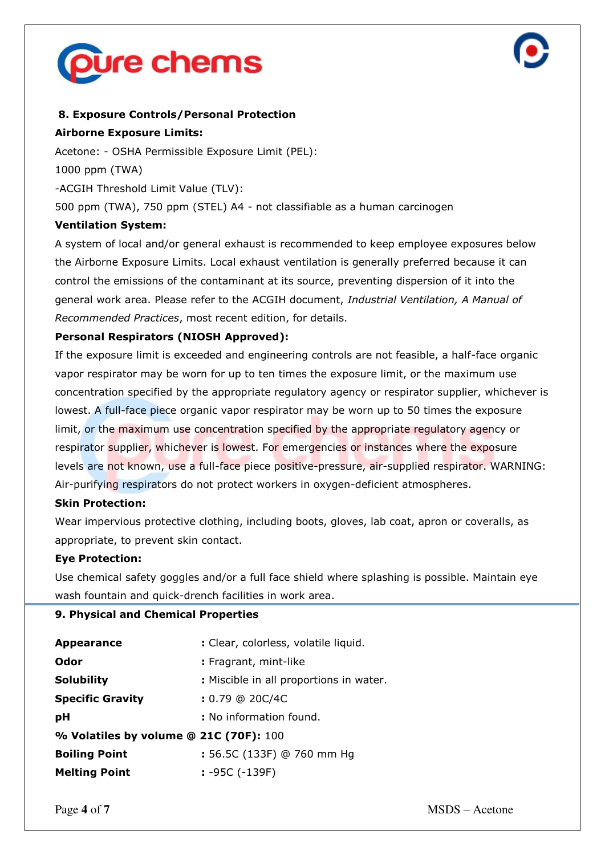



## **8. Exposure Controls/Personal Protection**

### **Airborne Exposure Limits:**

Acetone: - OSHA Permissible Exposure Limit (PEL): 1000 ppm (TWA) -ACGIH Threshold Limit Value (TLV): 500 ppm (TWA), 750 ppm (STEL) A4 - not classifiable as a human carcinogen **Ventilation System:**

A system of local and/or general exhaust is recommended to keep employee exposures below the Airborne Exposure Limits. Local exhaust ventilation is generally preferred because it can control the emissions of the contaminant at its source, preventing dispersion of it into the general work area. Please refer to the ACGIH document, *Industrial Ventilation, A Manual of Recommended Practices*, most recent edition, for details.

## **Personal Respirators (NIOSH Approved):**

If the exposure limit is exceeded and engineering controls are not feasible, a half-face organic vapor respirator may be worn for up to ten times the exposure limit, or the maximum use concentration specified by the appropriate regulatory agency or respirator supplier, whichever is lowest. A full-face piece organic vapor respirator may be worn up to 50 times the exposure limit, or the maximum use concentration specified by the appropriate regulatory agency or respirator supplier, whichever is lowest. For emergencies or instances where the exposure levels are not known, use a full-face piece positive-pressure, air-supplied respirator. WARNING: Air-purifying respirators do not protect workers in oxygen-deficient atmospheres.

#### **Skin Protection:**

Wear impervious protective clothing, including boots, gloves, lab coat, apron or coveralls, as appropriate, to prevent skin contact.

#### **Eye Protection:**

Use chemical safety goggles and/or a full face shield where splashing is possible. Maintain eye wash fountain and quick-drench facilities in work area.

#### **9. Physical and Chemical Properties**

| <b>Appearance</b>                      | : Clear, colorless, volatile liquid.    |  |  |  |  |  |
|----------------------------------------|-----------------------------------------|--|--|--|--|--|
| Odor                                   | : Fragrant, mint-like                   |  |  |  |  |  |
| <b>Solubility</b>                      | : Miscible in all proportions in water. |  |  |  |  |  |
| <b>Specific Gravity</b>                | $: 0.79$ @ 20C/4C                       |  |  |  |  |  |
| рH                                     | : No information found.                 |  |  |  |  |  |
| % Volatiles by volume @ 21C (70F): 100 |                                         |  |  |  |  |  |
| <b>Boiling Point</b>                   | : 56.5C (133F) @ 760 mm Hg              |  |  |  |  |  |
| <b>Melting Point</b>                   | $: -95C (-139F)$                        |  |  |  |  |  |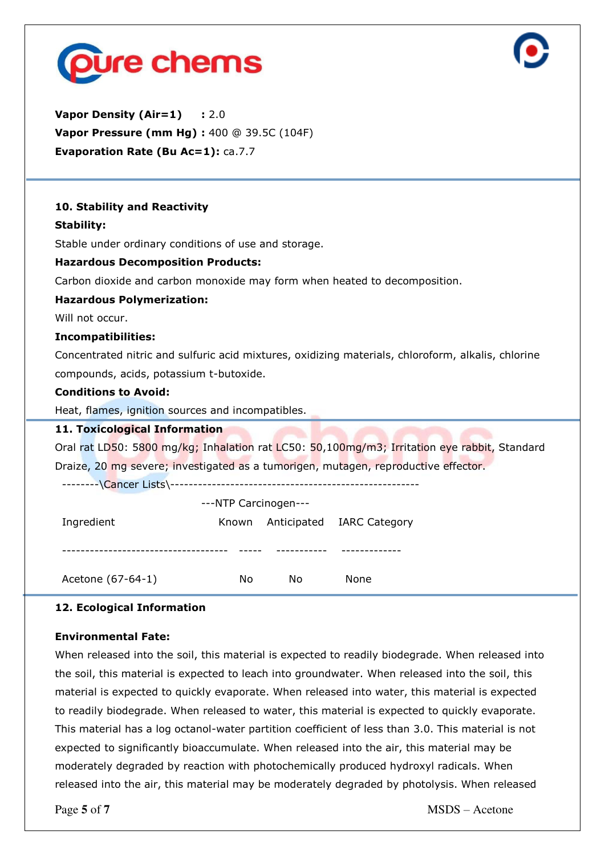



**Vapor Density (Air=1) : 2.0 Vapor Pressure (mm Hg) :** 400 @ 39.5C (104F) **Evaporation Rate (Bu Ac=1): ca.7.7** 

## **10. Stability and Reactivity**

## **Stability:**

Stable under ordinary conditions of use and storage.

## **Hazardous Decomposition Products:**

Carbon dioxide and carbon monoxide may form when heated to decomposition.

## **Hazardous Polymerization:**

Will not occur.

#### **Incompatibilities:**

Concentrated nitric and sulfuric acid mixtures, oxidizing materials, chloroform, alkalis, chlorine compounds, acids, potassium t-butoxide.

## **Conditions to Avoid:**

Heat, flames, ignition sources and incompatibles.

## **11. Toxicological Information**

Oral rat LD50: 5800 mg/kg; Inhalation rat LC50: 50,100mg/m3; Irritation eye rabbit, Standard Draize, 20 mg severe; investigated as a tumorigen, mutagen, reproductive effector.

--------\Cancer Lists\------------------------------------------------------

| ---NTP Carcinogen--- |       |    |                           |  |  |  |  |
|----------------------|-------|----|---------------------------|--|--|--|--|
| Ingredient           | Known |    | Anticipated IARC Category |  |  |  |  |
|                      |       |    |                           |  |  |  |  |
|                      |       |    |                           |  |  |  |  |
| Acetone (67-64-1)    | No    | No | None                      |  |  |  |  |

### **12. Ecological Information**

#### **Environmental Fate:**

When released into the soil, this material is expected to readily biodegrade. When released into the soil, this material is expected to leach into groundwater. When released into the soil, this material is expected to quickly evaporate. When released into water, this material is expected to readily biodegrade. When released to water, this material is expected to quickly evaporate. This material has a log octanol-water partition coefficient of less than 3.0. This material is not expected to significantly bioaccumulate. When released into the air, this material may be moderately degraded by reaction with photochemically produced hydroxyl radicals. When released into the air, this material may be moderately degraded by photolysis. When released

Page **5** of **7** MSDS – Acetone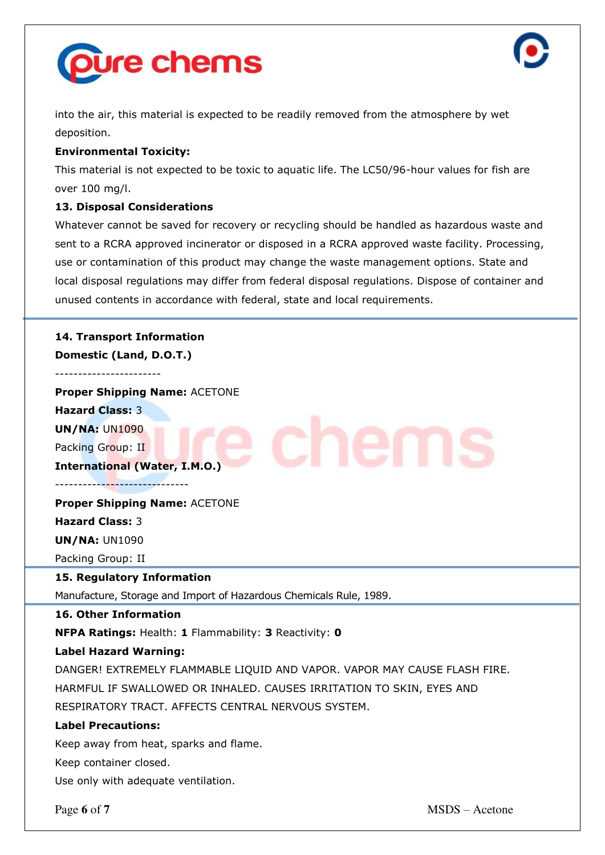



into the air, this material is expected to be readily removed from the atmosphere by wet deposition.

## **Environmental Toxicity:**

This material is not expected to be toxic to aquatic life. The LC50/96-hour values for fish are over 100 mg/l.

## **13. Disposal Considerations**

Whatever cannot be saved for recovery or recycling should be handled as hazardous waste and sent to a RCRA approved incinerator or disposed in a RCRA approved waste facility. Processing, use or contamination of this product may change the waste management options. State and local disposal regulations may differ from federal disposal regulations. Dispose of container and unused contents in accordance with federal, state and local requirements.